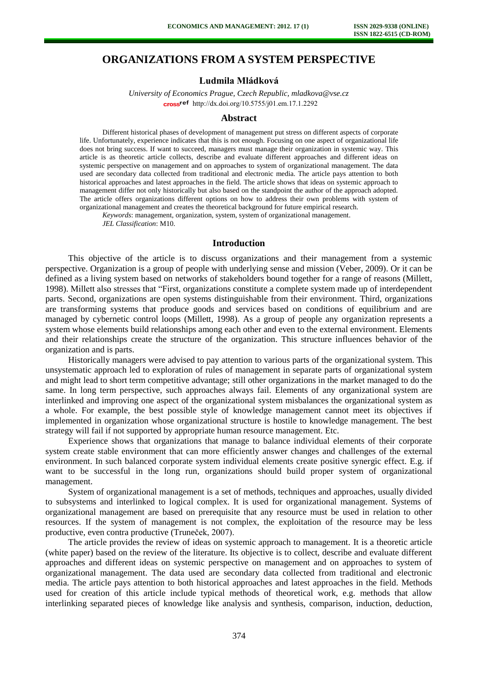# **ORGANIZATIONS FROM A SYSTEM PERSPECTIVE**

### **Ludmila Mládková**

*University of Economics Prague, Czech Republic, mladkova@vse.cz*  cross<sup>ref</sup> [http://dx.doi.org/10.5755/j01.e](http://dx.doi.org/10.5755/j01.em.17.1.2292)m.17.1.2292

#### **Abstract**

Different historical phases of development of management put stress on different aspects of corporate life. Unfortunately, experience indicates that this is not enough. Focusing on one aspect of organizational life does not bring success. If want to succeed, managers must manage their organization in systemic way. This article is as theoretic article collects, describe and evaluate different approaches and different ideas on systemic perspective on management and on approaches to system of organizational management. The data used are secondary data collected from traditional and electronic media. The article pays attention to both historical approaches and latest approaches in the field. The article shows that ideas on systemic approach to management differ not only historically but also based on the standpoint the author of the approach adopted. The article offers organizations different options on how to address their own problems with system of organizational management and creates the theoretical background for future empirical research.

*Keywords*: management, organization, system, system of organizational management. *JEL Classification*: M10.

#### **Introduction**

This objective of the article is to discuss organizations and their management from a systemic perspective. Organization is a group of people with underlying sense and mission (Veber, 2009). Or it can be defined as a living system based on networks of stakeholders bound together for a range of reasons (Millett, 1998). Millett also stresses that "First, organizations constitute a complete system made up of interdependent parts. Second, organizations are open systems distinguishable from their environment. Third, organizations are transforming systems that produce goods and services based on conditions of equilibrium and are managed by cybernetic control loops (Millett, 1998). As a group of people any organization represents a system whose elements build relationships among each other and even to the external environment. Elements and their relationships create the structure of the organization. This structure influences behavior of the organization and is parts.

Historically managers were advised to pay attention to various parts of the organizational system. This unsystematic approach led to exploration of rules of management in separate parts of organizational system and might lead to short term competitive advantage; still other organizations in the market managed to do the same. In long term perspective, such approaches always fail. Elements of any organizational system are interlinked and improving one aspect of the organizational system misbalances the organizational system as a whole. For example, the best possible style of knowledge management cannot meet its objectives if implemented in organization whose organizational structure is hostile to knowledge management. The best strategy will fail if not supported by appropriate human resource management. Etc.

Experience shows that organizations that manage to balance individual elements of their corporate system create stable environment that can more efficiently answer changes and challenges of the external environment. In such balanced corporate system individual elements create positive synergic effect. E.g. if want to be successful in the long run, organizations should build proper system of organizational management.

System of organizational management is a set of methods, techniques and approaches, usually divided to subsystems and interlinked to logical complex. It is used for organizational management. Systems of organizational management are based on prerequisite that any resource must be used in relation to other resources. If the system of management is not complex, the exploitation of the resource may be less productive, even contra productive (Truneček, 2007).

The article provides the review of ideas on systemic approach to management. It is a theoretic article (white paper) based on the review of the literature. Its objective is to collect, describe and evaluate different approaches and different ideas on systemic perspective on management and on approaches to system of organizational management. The data used are secondary data collected from traditional and electronic media. The article pays attention to both historical approaches and latest approaches in the field. Methods used for creation of this article include typical methods of theoretical work, e.g. methods that allow interlinking separated pieces of knowledge like analysis and synthesis, comparison, induction, deduction,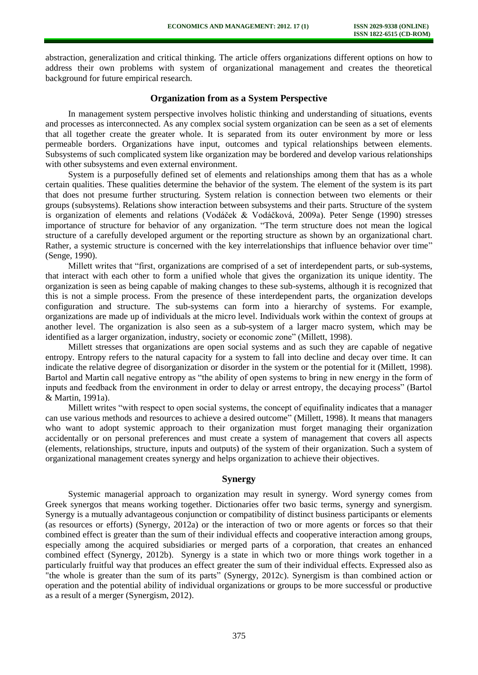abstraction, generalization and critical thinking. The article offers organizations different options on how to address their own problems with system of organizational management and creates the theoretical background for future empirical research.

### **Organization from as a System Perspective**

In management system perspective involves holistic thinking and understanding of situations, events and processes as interconnected. As any complex social system organization can be seen as a set of elements that all together create the greater whole. It is separated from its outer environment by more or less permeable borders. Organizations have input, outcomes and typical relationships between elements. Subsystems of such complicated system like organization may be bordered and develop various relationships with other subsystems and even external environment.

System is a purposefully defined set of elements and relationships among them that has as a whole certain qualities. These qualities determine the behavior of the system. The element of the system is its part that does not presume further structuring. System relation is connection between two elements or their groups (subsystems). Relations show interaction between subsystems and their parts. Structure of the system is organization of elements and relations (Vodáček & Vodáčková, 2009a). Peter Senge (1990) stresses importance of structure for behavior of any organization. "The term structure does not mean the logical structure of a carefully developed argument or the reporting structure as shown by an organizational chart. Rather, a systemic structure is concerned with the key interrelationships that influence behavior over time" (Senge, 1990).

Millett writes that "first, organizations are comprised of a set of interdependent parts, or sub-systems, that interact with each other to form a unified whole that gives the organization its unique identity. The organization is seen as being capable of making changes to these sub-systems, although it is recognized that this is not a simple process. From the presence of these interdependent parts, the organization develops configuration and structure. The sub-systems can form into a hierarchy of systems. For example, organizations are made up of individuals at the micro level. Individuals work within the context of groups at another level. The organization is also seen as a sub-system of a larger macro system, which may be identified as a larger organization, industry, society or economic zone" (Millett, 1998).

Millett stresses that organizations are open social systems and as such they are capable of negative entropy. Entropy refers to the natural capacity for a system to fall into decline and decay over time. It can indicate the relative degree of disorganization or disorder in the system or the potential for it (Millett, 1998). Bartol and Martin call negative entropy as "the ability of open systems to bring in new energy in the form of inputs and feedback from the environment in order to delay or arrest entropy, the decaying process" (Bartol & Martin, 1991a).

Millett writes "with respect to open social systems, the concept of equifinality indicates that a manager can use various methods and resources to achieve a desired outcome" (Millett, 1998). It means that managers who want to adopt systemic approach to their organization must forget managing their organization accidentally or on personal preferences and must create a system of management that covers all aspects (elements, relationships, structure, inputs and outputs) of the system of their organization. Such a system of organizational management creates synergy and helps organization to achieve their objectives.

## **Synergy**

Systemic managerial approach to organization may result in synergy. Word synergy comes from Greek synergos that means working together. Dictionaries offer two basic terms, synergy and synergism. Synergy is a mutually advantageous conjunction or compatibility of distinct business participants or elements (as resources or efforts) (Synergy, 2012a) or the interaction of two or more agents or forces so that their combined effect is greater than the sum of their individual effects and cooperative interaction among groups, especially among the acquired subsidiaries or merged parts of a corporation, that creates an enhanced combined effect (Synergy, 2012b). Synergy is a state in which two or more things [work](http://www.businessdictionary.com/definition/work.html) together in a particularly fruitful way that [produces](http://www.businessdictionary.com/definition/produce.html) an effect greater the [sum](http://www.businessdictionary.com/definition/sum.html) of their [individual](http://www.businessdictionary.com/definition/individual.html) effects. Expressed also as "the whole is greater than the sum of its [parts"](http://www.businessdictionary.com/definition/part.html) (Synergy, 2012c). Synergism is than combined action or operation and the potential ability of individual organizations or groups to be more successful or productive as a result of a merger (Synergism, 2012).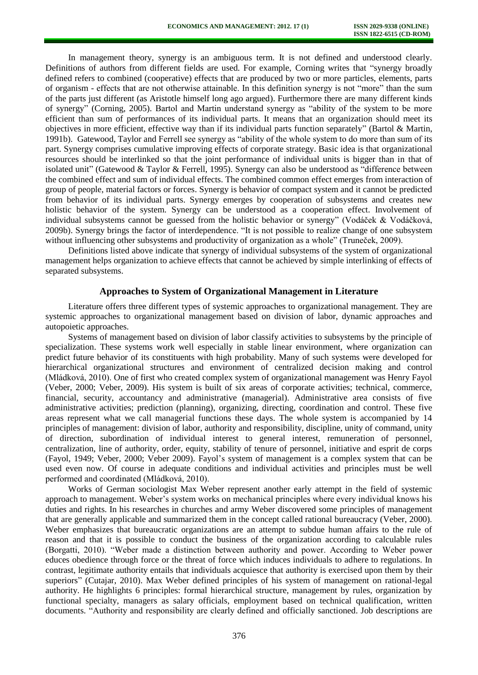In management theory, synergy is an ambiguous term. It is not defined and understood clearly. Definitions of authors from different fields are used. For example, Corning writes that "synergy broadly defined refers to combined (cooperative) effects that are produced by two or more particles, elements, parts of organism - effects that are not otherwise attainable. In this definition synergy is not "more" than the sum of the parts just different (as Aristotle himself long ago argued). Furthermore there are many different kinds of synergy" (Corning, 2005). Bartol and Martin understand synergy as "ability of the system to be more efficient than sum of performances of its individual parts. It means that an organization should meet its objectives in more efficient, effective way than if its individual parts function separately" (Bartol & Martin, 1991b). Gatewood, Taylor and Ferrell see synergy as "ability of the whole system to do more than sum of its part. Synergy comprises cumulative improving effects of corporate strategy. Basic idea is that organizational resources should be interlinked so that the joint performance of individual units is bigger than in that of isolated unit" (Gatewood & Taylor & Ferrell, 1995). Synergy can also be understood as "difference between the combined effect and sum of individual effects. The combined common effect emerges from interaction of group of people, material factors or forces. Synergy is behavior of compact system and it cannot be predicted from behavior of its individual parts. Synergy emerges by cooperation of subsystems and creates new holistic behavior of the system. Synergy can be understood as a cooperation effect. Involvement of individual subsystems cannot be guessed from the holistic behavior or synergy" (Vodáček & Vodáčková, 2009b). Synergy brings the factor of interdependence. "It is not possible to realize change of one subsystem without influencing other subsystems and productivity of organization as a whole" (Truneček, 2009).

Definitions listed above indicate that synergy of individual subsystems of the system of organizational management helps organization to achieve effects that cannot be achieved by simple interlinking of effects of separated subsystems.

### **Approaches to System of Organizational Management in Literature**

Literature offers three different types of systemic approaches to organizational management. They are systemic approaches to organizational management based on division of labor, dynamic approaches and autopoietic approaches.

Systems of management based on division of labor classify activities to subsystems by the principle of specialization. These systems work well especially in stable linear environment, where organization can predict future behavior of its constituents with high probability. Many of such systems were developed for hierarchical organizational structures and environment of centralized decision making and control (Mládková, 2010). One of first who created complex system of organizational management was Henry Fayol (Veber, 2000; Veber, 2009). His system is built of six areas of corporate activities; technical, commerce, financial, security, accountancy and administrative (managerial). Administrative area consists of five administrative activities; prediction (planning), organizing, directing, coordination and control. These five areas represent what we call managerial functions these days. The whole system is accompanied by 14 principles of management: division of labor, authority and responsibility, discipline, unity of command, unity of direction, subordination of individual interest to general interest, remuneration of personnel, centralization, line of authority, order, equity, stability of tenure of personnel, initiative and esprit de corps (Fayol, 1949; Veber, 2000; Veber 2009). Fayol's system of management is a complex system that can be used even now. Of course in adequate conditions and individual activities and principles must be well performed and coordinated (Mládková, 2010).

Works of German sociologist Max Weber represent another early attempt in the field of systemic approach to management. Weber's system works on mechanical principles where every individual knows his duties and rights. In his researches in churches and army Weber discovered some principles of management that are generally applicable and summarized them in the concept called rational bureaucracy (Veber, 2000). Weber emphasizes that bureaucratic organizations are an attempt to subdue human affairs to the rule of reason and that it is possible to conduct the business of the organization according to calculable rules (Borgatti, 2010). "Weber made a distinction between authority and power. According to Weber power educes obedience through force or the threat of force which induces individuals to adhere to regulations. In contrast, legitimate authority entails that individuals acquiesce that authority is exercised upon them by their superiors" (Cutajar, 2010). Max Weber defined principles of his system of management on rational-legal authority. He highlights 6 principles: formal hierarchical structure, management by rules, organization by functional specialty, managers as salary officials, employment based on technical qualification, written documents. "Authority and responsibility are clearly defined and officially sanctioned. Job descriptions are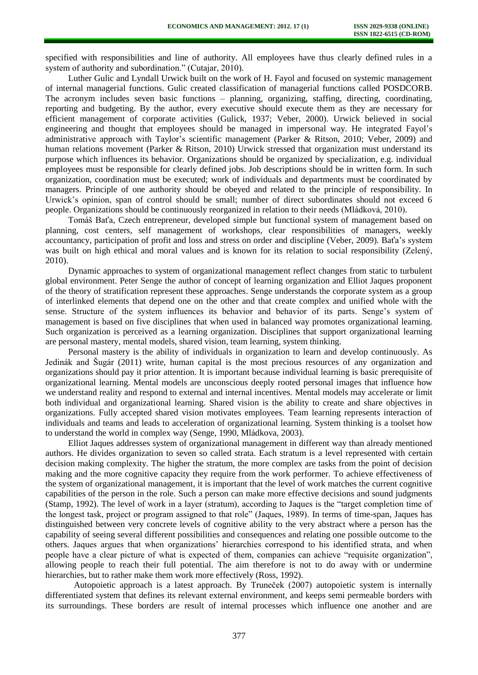specified with responsibilities and line of authority. All employees have thus clearly defined rules in a system of authority and subordination." (Cutajar, 2010).

Luther Gulic and Lyndall Urwick built on the work of H. Fayol and focused on systemic management of internal managerial functions. Gulic created classification of managerial functions called POSDCORB. The acronym includes seven basic functions – planning, organizing, staffing, directing, coordinating, reporting and budgeting. By the author, every executive should execute them as they are necessary for efficient management of corporate activities (Gulick, 1937; Veber, 2000). Urwick believed in social engineering and thought that employees should be managed in impersonal way. He integrated Fayol's administrative approach with Taylor's scientific management (Parker & Ritson, 2010; Veber, 2009) and human relations movement (Parker & Ritson, 2010) Urwick stressed that organization must understand its purpose which influences its behavior. Organizations should be organized by specialization, e.g. individual employees must be responsible for clearly defined jobs. Job descriptions should be in written form. In such organization, coordination must be executed; work of individuals and departments must be coordinated by managers. Principle of one authority should be obeyed and related to the principle of responsibility. In Urwick's opinion, span of control should be small; number of direct subordinates should not exceed 6 people. Organizations should be continuously reorganized in relation to their needs (Mládková, 2010).

Tomáš Baťa, Czech entrepreneur, developed simple but functional system of management based on planning, cost centers, self management of workshops, clear responsibilities of managers, weekly accountancy, participation of profit and loss and stress on order and discipline (Veber, 2009). Baťa's system was built on high ethical and moral values and is known for its relation to social responsibility (Zelený, 2010).

Dynamic approaches to system of organizational management reflect changes from static to turbulent global environment. Peter Senge the author of concept of learning organization and Elliot Jaques proponent of the theory of stratification represent these approaches. Senge understands the corporate system as a group of interlinked elements that depend one on the other and that create complex and unified whole with the sense. Structure of the system influences its behavior and behavior of its parts. Senge's system of management is based on five disciplines that when used in balanced way promotes organizational learning. Such organization is perceived as a learning organization. Disciplines that support organizational learning are personal mastery, mental models, shared vision, team learning, system thinking.

Personal mastery is the ability of individuals in organization to learn and develop continuously. As Jedinák and Šugár (2011) write, human capital is the most precious resources of any organization and organizations should pay it prior attention. It is important because individual learning is basic prerequisite of organizational learning. Mental models are unconscious deeply rooted personal images that influence how we understand reality and respond to external and internal incentives. Mental models may accelerate or limit both individual and organizational learning. Shared vision is the ability to create and share objectives in organizations. Fully accepted shared vision motivates employees. Team learning represents interaction of individuals and teams and leads to acceleration of organizational learning. System thinking is a toolset how to understand the world in complex way (Senge, 1990, Mládkova, 2003).

Elliot Jaques addresses system of organizational management in different way than already mentioned authors. He divides organization to seven so called strata. Each stratum is a level represented with certain decision making complexity. The higher the stratum, the more complex are tasks from the point of decision making and the more cognitive capacity they require from the work performer. To achieve effectiveness of the system of organizational management, it is important that the level of work matches the current cognitive capabilities of the person in the role. Such a person can make more effective decisions and sound judgments (Stamp, 1992). The level of work in a layer (stratum), according to Jaques is the "target completion time of the longest task, project or program assigned to that role" (Jaques, 1989). In terms of time-span, Jaques has distinguished between very concrete levels of cognitive ability to the very abstract where a person has the capability of seeing several different possibilities and consequences and relating one possible outcome to the others. Jaques argues that when organizations' hierarchies correspond to his identified strata, and when people have a clear picture of what is expected of them, companies can achieve "requisite organization", allowing people to reach their full potential. The aim therefore is not to do away with or undermine hierarchies, but to rather make them work more effectively (Ross, 1992).

 Autopoietic approach is a latest approach. By Truneček (2007) autopoietic system is internally differentiated system that defines its relevant external environment, and keeps semi permeable borders with its surroundings. These borders are result of internal processes which influence one another and are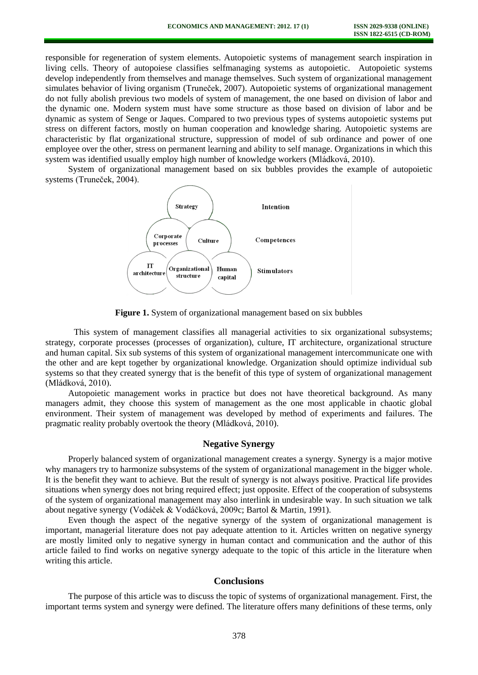responsible for regeneration of system elements. Autopoietic systems of management search inspiration in living cells. Theory of autopoiese classifies selfmanaging systems as autopoietic. Autopoietic systems develop independently from themselves and manage themselves. Such system of organizational management simulates behavior of living organism (Truneček, 2007). Autopoietic systems of organizational management do not fully abolish previous two models of system of management, the one based on division of labor and the dynamic one. Modern system must have some structure as those based on division of labor and be dynamic as system of Senge or Jaques. Compared to two previous types of systems autopoietic systems put stress on different factors, mostly on human cooperation and knowledge sharing. Autopoietic systems are characteristic by flat organizational structure, suppression of model of sub ordinance and power of one employee over the other, stress on permanent learning and ability to self manage. Organizations in which this system was identified usually employ high number of knowledge workers (Mládková, 2010).

System of organizational management based on six bubbles provides the example of autopoietic systems (Truneček, 2004).





This system of management classifies all managerial activities to six organizational subsystems; strategy, corporate processes (processes of organization), culture, IT architecture, organizational structure and human capital. Six sub systems of this system of organizational management intercommunicate one with the other and are kept together by organizational knowledge. Organization should optimize individual sub systems so that they created synergy that is the benefit of this type of system of organizational management (Mládková, 2010).

Autopoietic management works in practice but does not have theoretical background. As many managers admit, they choose this system of management as the one most applicable in chaotic global environment. Their system of management was developed by method of experiments and failures. The pragmatic reality probably overtook the theory (Mládková, 2010).

## **Negative Synergy**

Properly balanced system of organizational management creates a synergy. Synergy is a major motive why managers try to harmonize subsystems of the system of organizational management in the bigger whole. It is the benefit they want to achieve. But the result of synergy is not always positive. Practical life provides situations when synergy does not bring required effect; just opposite. Effect of the cooperation of subsystems of the system of organizational management may also interlink in undesirable way. In such situation we talk about negative synergy (Vodáček & Vodáčková, 2009c; Bartol & Martin, 1991).

Even though the aspect of the negative synergy of the system of organizational management is important, managerial literature does not pay adequate attention to it. Articles written on negative synergy are mostly limited only to negative synergy in human contact and communication and the author of this article failed to find works on negative synergy adequate to the topic of this article in the literature when writing this article.

### **Conclusions**

The purpose of this article was to discuss the topic of systems of organizational management. First, the important terms system and synergy were defined. The literature offers many definitions of these terms, only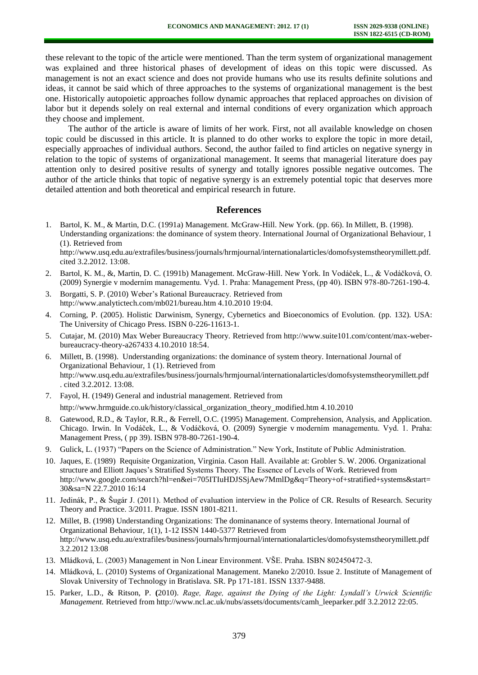these relevant to the topic of the article were mentioned. Than the term system of organizational management was explained and three historical phases of development of ideas on this topic were discussed. As management is not an exact science and does not provide humans who use its results definite solutions and ideas, it cannot be said which of three approaches to the systems of organizational management is the best one. Historically autopoietic approaches follow dynamic approaches that replaced approaches on division of labor but it depends solely on real external and internal conditions of every organization which approach they choose and implement.

The author of the article is aware of limits of her work. First, not all available knowledge on chosen topic could be discussed in this article. It is planned to do other works to explore the topic in more detail, especially approaches of individual authors. Second, the author failed to find articles on negative synergy in relation to the topic of systems of organizational management. It seems that managerial literature does pay attention only to desired positive results of synergy and totally ignores possible negative outcomes. The author of the article thinks that topic of negative synergy is an extremely potential topic that deserves more detailed attention and both theoretical and empirical research in future.

### **References**

- 1. Bartol, K. M., & Martin, D.C. (1991a) Management. McGraw-Hill. New York. (pp. 66). In Millett, B. (1998). Understanding organizations: the dominance of system theory. International Journal of Organizational Behaviour, 1 (1). Retrieved from [http://www.usq.edu.au/extrafiles/business/journals/hrmjournal/internationalarticles/domofsystemstheorymillett.pdf.](http://www.usq.edu.au/extrafiles/business/journals/hrmjournal/internationalarticles/domofsystemstheorymillett.pdf.%20cited%203.2.2012.%2013:08)  [cited 3.2.2012. 13:08.](http://www.usq.edu.au/extrafiles/business/journals/hrmjournal/internationalarticles/domofsystemstheorymillett.pdf.%20cited%203.2.2012.%2013:08)
- 2. Bartol, K. M., &, Martin, D. C. (1991b) Management. McGraw-Hill. New York. In Vodáček, L., & Vodáčková, O. (2009) Synergie v moderním managementu. Vyd. 1. Praha: Management Press, (pp 40). ISBN 978-80-7261-190-4.
- 3. Borgatti, S. P. (2010) Weber's Rational Bureaucracy. Retrieved from http://www.analytictech.com/mb021/bureau.htm 4.10.2010 19:04.
- 4. Corning, P. (2005). Holistic Darwinism, Synergy, Cybernetics and Bioeconomics of Evolution. (pp. 132). USA: The University of Chicago Press. ISBN 0-226-11613-1.
- 5. Cutajar, M. (2010) Max Weber Bureaucracy Theory. Retrieved fro[m http://www.suite101.com/content/max-weber](http://www.suite101.com/content/max-weber-bureaucracy-theory-a267433%204.10.2010%2018:54)[bureaucracy-theory-a267433 4.10.2010 18:54.](http://www.suite101.com/content/max-weber-bureaucracy-theory-a267433%204.10.2010%2018:54)
- 6. Millett, B. (1998). Understanding organizations: the dominance of system theory. International Journal of Organizational Behaviour, 1 (1). Retrieved from [http://www.usq.edu.au/extrafiles/business/journals/hrmjournal/internationalarticles/domofsystemstheorymillett.pdf](http://www.usq.edu.au/extrafiles/business/journals/hrmjournal/internationalarticles/domofsystemstheorymillett.pdf%20.%20cited%203.2.2012.%2013:08)  [. cited 3.2.2012. 13:08.](http://www.usq.edu.au/extrafiles/business/journals/hrmjournal/internationalarticles/domofsystemstheorymillett.pdf%20.%20cited%203.2.2012.%2013:08)
- 7. Fayol, H. (1949) General and industrial management. Retrieved from http://www.hrmguide.co.uk/history/classical\_organization\_theory\_modified.htm 4.10.2010
- 8. Gatewood, R.D., & Taylor, R.R., & Ferrell, O.C. (1995) Management. Comprehension, Analysis, and Application. Chicago. Irwin. In Vodáček, L., & Vodáčková, O. (2009) Synergie v moderním managementu. Vyd. 1. Praha: Management Press, ( pp 39). ISBN 978-80-7261-190-4.
- 9. Gulick, L. (1937) "Papers on the Science of Administration." New York, Institute of Public Administration.
- 10. Jaques, E. (1989) Requisite Organization, Virginia. Cason Hall. Available at: Grobler S. W. 2006. Organizational structure and Elliott Jaques's Stratified Systems Theory. The Essence of Levels of Work. Retrieved from http://www.google.com/search?hl=en&ei=705ITIuHDJSSjAew7MmlDg&q=Theory+of+stratified+systems&start= 30&sa=N 22.7.2010 16:14
- 11. Jedinák, P., & Šugár J. (2011). Method of evaluation interview in the Police of CR. Results of Research. Security Theory and Practice. 3/2011. Prague. ISSN 1801-8211.
- 12. Millet, B. (1998) Understanding Organizations: The dominanance of systems theory. International Journal of Organizational Behaviour, 1(1), 1-12 ISSN 1440-5377 Retrieved from <http://www.usq.edu.au/extrafiles/business/journals/hrmjournal/internationalarticles/domofsystemstheorymillett.pdf> 3.2.2012 13:08
- 13. Mládková, L. (2003) Management in Non Linear Environment. VŠE. Praha. ISBN 802450472-3.
- 14. Mládková, L. (2010) Systems of Organizational Management. Maneko 2/2010. Issue 2. Institute of Management of Slovak University of Technology in Bratislava. SR. Pp 171-181. ISSN 1337-9488.
- 15. Parker, L.D., & Ritson, P. **(**2010). *Rage, Rage, against the Dying of the Light: Lyndall's Urwick Scientific Management.* Retrieved from [http://www.ncl.ac.uk/nubs/assets/documents/camh\\_leeparker.pdf](http://www.ncl.ac.uk/nubs/assets/documents/camh_leeparker.pdf) 3.2.2012 22:05.